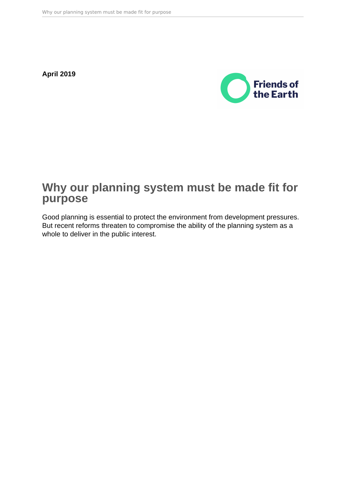**April 2019**



# **Why our planning system must be made fit for purpose**

Good planning is essential to protect the environment from development pressures. But recent reforms threaten to compromise the ability of the planning system as a whole to deliver in the public interest.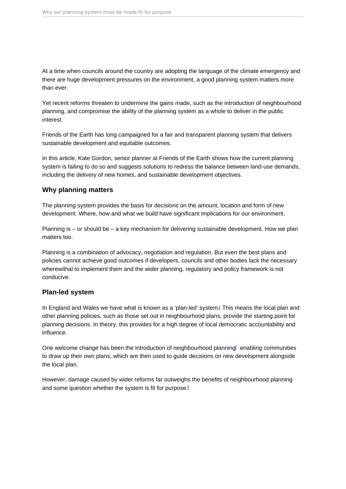<span id="page-1-0"></span>At a time when councils around the country are adopting the language of the climate emergency and there are huge development pressures on the environment, a good planning system matters more than ever.

Yet recent reforms threaten to undermine the gains made, such as the introduction of neighbourhood planning, and compromise the ability of the planning system as a whole to deliver in the public interest.

Friends of the Earth has long campaigned for a fair and transparent planning system that delivers sustainable development and equitable outcomes.

In this article, Kate Gordon, senior planner at Friends of the Earth shows how the current planning system is failing to do so and suggests solutions to redress the balance between land-use demands, including the delivery of new homes, and sustainable development objectives.

#### Why planning matters

The planning system provides the basis for decisions on the amount, location and form of new development. Where, how and what we build have significant implications for our environment.

Planning is – or should be – a key mechanism for delivering sustainable development. How we plan matters too.

Planning is a combination of advocacy, negotiation and regulation. But even the best plans and policies cannot achieve good outcomes if developers, councils and other bodies lack the necessary wherewithal to implement them and the wider planning, regulatory and policy framework is not conducive.

#### Plan-led system

In England and Wales we have what is known as a 'plan-led' system.<sup>[1](#page-7-0)</sup> This means the local plan and other planning policies, such as those set out in neighbourhood plans, provide the starting point for planning decisions. In theory, this provides for a high degree of local democratic accountability and influence.

One welcome change has been the introduction of neighbourhood planning<sup>[2](#page-7-0)</sup> enabling communities to draw up their own plans, which are then used to guide decisions on new development alongside the local plan.

However, damage caused by wider reforms far outweighs the benefits of neighbourhood planning and some question whether the system is fit for purpose.<sup>[3](#page-7-0)</sup>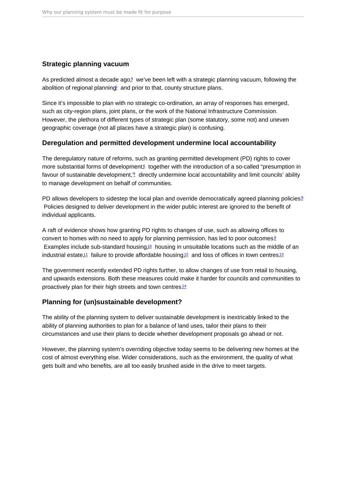### <span id="page-2-0"></span>Strategic planning vacuum

As predicted almost a decade ago $4$  we've been left with a strategic planning vacuum, following the abolition of regional planning and prior to that, county structure plans.

Since it's impossible to plan with no strategic co-ordination, an array of responses has emerged, such as city-region plans, joint plans, or the work of the National Infrastructure Commission. However, the plethora of different types of strategic plan (some statutory, some not) and uneven geographic coverage (not all places have a strategic plan) is confusing.

#### Deregulation and permitted development undermine local accountability

The deregulatory nature of reforms, such as granting permitted development (PD) rights to cover more substantial forms of development $\beta$  together with the introduction of a so-called "presumption in favour of sustainable development," directly undermine local accountability and limit councils' ability to manage development on behalf of communities.

PD allows developers to sidestep the local plan and override democratically agreed planning policies.<sup>[8](#page-7-0)</sup> Policies designed to deliver development in the wider public interest are ignored to the benefit of individual applicants.

A raft of evidence shows how granting PD rights to changes of use, such as allowing offices to convert to homes with no need to apply for planning permission, has led to poor outcomes.<sup>[9](#page-7-0)</sup> Examples include sub-standard housing,<sup>[10](#page-7-0)</sup> housing in unsuitable locations such as the middle of an industrial estate.<sup>[11](#page-8-0)</sup> failure to provide affordable housing.<sup>[12](#page-8-0)</sup> and loss of offices in town centres.<sup>[13](#page-8-0)</sup>

The government recently extended PD rights further, to allow changes of use from retail to housing, and upwards extensions. Both these measures could make it harder for councils and communities to proactively plan for their high streets and town centres.<sup>[14](#page-8-0)</sup>

# Planning for (un)sustainable development?

The ability of the planning system to deliver sustainable development is inextricably linked to the ability of planning authorities to plan for a balance of land uses, tailor their plans to their circumstances and use their plans to decide whether development proposals go ahead or not.

However, the planning system's overriding objective today seems to be delivering new homes at the cost of almost everything else. Wider considerations, such as the environment, the quality of what gets built and who benefits, are all too easily brushed aside in the drive to meet targets.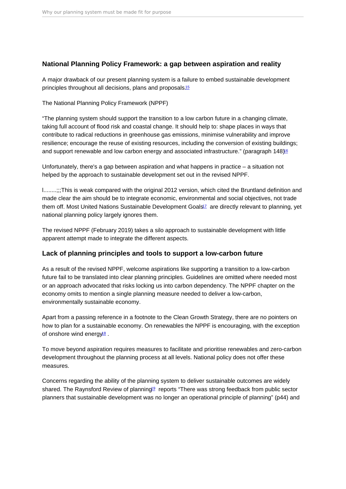# <span id="page-3-0"></span>National Planning Policy Framework: a gap between aspiration and reality

A major drawback of our present planning system is a failure to embed sustainable development principles throughout all decisions, plans and proposals.[15](#page-8-0)

The National Planning Policy Framework (NPPF)

"The planning system should support the transition to a low carbon future in a changing climate, taking full account of flood risk and coastal change. It should help to: shape places in ways that contribute to radical reductions in greenhouse gas emissions, minimise vulnerability and improve resilience; encourage the reuse of existing resources, including the conversion of existing buildings; and support renewable and low carbon energy and associated infrastructure." (paragraph 148)<sup>66</sup>

Unfortunately, there's a gap between aspiration and what happens in practice – a situation not helped by the approach to sustainable development set out in the revised NPPF.

l........;;;This is weak compared with the original 2012 version, which cited the Bruntland definition and made clear the aim should be to integrate economic, environmental and social objectives, not trade them off. Most United Nations Sustainable Development Goals<sup>[17](#page-8-0)</sup> are directly relevant to planning, yet national planning policy largely ignores them.

The revised NPPF (February 2019) takes a silo approach to sustainable development with little apparent attempt made to integrate the different aspects.

#### Lack of planning principles and tools to support a low-carbon future

As a result of the revised NPPF, welcome aspirations like supporting a transition to a low-carbon future fail to be translated into clear planning principles. Guidelines are omitted where needed most or an approach advocated that risks locking us into carbon dependency. The NPPF chapter on the economy omits to mention a single planning measure needed to deliver a low-carbon, environmentally sustainable economy.

Apart from a passing reference in a footnote to the Clean Growth Strategy, there are no pointers on how to plan for a sustainable economy. On renewables the NPPF is encouraging, with the exception of onshore wind energy<sup>8</sup>.

To move beyond aspiration requires measures to facilitate and prioritise renewables and zero-carbon development throughout the planning process at all levels. National policy does not offer these measures.

Concerns regarding the ability of the planning system to deliver sustainable outcomes are widely shared. The Raynsford Review of planning<sup>[19](#page-8-0)</sup> reports "There was strong feedback from public sector planners that sustainable development was no longer an operational principle of planning" (p44) and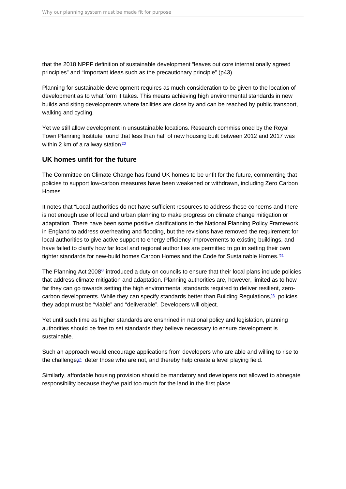<span id="page-4-0"></span>that the 2018 NPPF definition of sustainable development "leaves out core internationally agreed principles" and "Important ideas such as the precautionary principle" (p43).

Planning for sustainable development requires as much consideration to be given to the location of development as to what form it takes. This means achieving high environmental standards in new builds and siting developments where facilities are close by and can be reached by public transport, walking and cycling.

Yet we still allow development in unsustainable locations. Research commissioned by the Royal Town Planning Institute found that less than half of new housing built between 2012 and 2017 was within 2 km of a railway station $\frac{20}{2}$  $\frac{20}{2}$  $\frac{20}{2}$ 

### UK homes unfit for the future

The Committee on Climate Change has found UK homes to be unfit for the future, commenting that policies to support low-carbon measures have been weakened or withdrawn, including Zero Carbon Homes.

It notes that "Local authorities do not have sufficient resources to address these concerns and there is not enough use of local and urban planning to make progress on climate change mitigation or adaptation. There have been some positive clarifications to the National Planning Policy Framework in England to address overheating and flooding, but the revisions have removed the requirement for local authorities to give active support to energy efficiency improvements to existing buildings, and have failed to clarify how far local and regional authorities are permitted to go in setting their own tighter standards for new-build homes Carbon Homes and the Code for Sustainable Homes.<sup>7[21](#page-8-0)</sup>

The Planning Act 2008<sup>2</sup> introduced a duty on councils to ensure that their local plans include policies that address climate mitigation and adaptation. Planning authorities are, however, limited as to how far they can go towards setting the high environmental standards required to deliver resilient, zerocarbon developments. While they can specify standards better than Building Regulations $23$  policies they adopt must be "viable" and "deliverable". Developers will object.

Yet until such time as higher standards are enshrined in national policy and legislation, planning authorities should be free to set standards they believe necessary to ensure development is sustainable.

Such an approach would encourage applications from developers who are able and willing to rise to the challenge $24$  deter those who are not, and thereby help create a level playing field.

Similarly, affordable housing provision should be mandatory and developers not allowed to abnegate responsibility because they've paid too much for the land in the first place.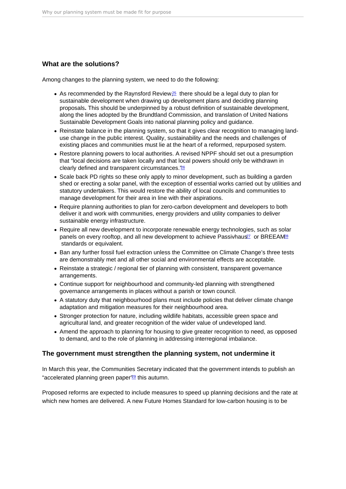## <span id="page-5-0"></span>What are the solutions?

Among changes to the planning system, we need to do the following:

- As recommended by the Raynsford Review,  $25$  there should be a legal duty to plan for sustainable development when drawing up development plans and deciding planning proposals. This should be underpinned by a robust definition of sustainable development, along the lines adopted by the Brundtland Commission, and translation of United Nations Sustainable Development Goals into national planning policy and guidance.
- Reinstate balance in the planning system, so that it gives clear recognition to managing landuse change in the public interest. Quality, sustainability and the needs and challenges of existing places and communities must lie at the heart of a reformed, repurposed system.
- Restore planning powers to local authorities. A revised NPPF should set out a presumption that "local decisions are taken locally and that local powers should only be withdrawn in clearly defined and transparent circumstances."[26](#page-9-0)
- Scale back PD rights so these only apply to minor development, such as building a garden shed or erecting a solar panel, with the exception of essential works carried out by utilities and statutory undertakers. This would restore the ability of local councils and communities to manage development for their area in line with their aspirations.
- Require planning authorities to plan for zero-carbon development and developers to both deliver it and work with communities, energy providers and utility companies to deliver sustainable energy infrastructure.
- Require all new development to incorporate renewable energy technologies, such as solar panels on every rooftop, and all new development to achieve Passivhaus<sup>[27](#page-9-0)</sup> or BREEAM<sup>[28](#page-9-0)</sup> standards or equivalent.
- Ban any further fossil fuel extraction unless the Committee on Climate Change's three tests are demonstrably met and all other social and environmental effects are acceptable.
- Reinstate a strategic / regional tier of planning with consistent, transparent governance arrangements.
- Continue support for neighbourhood and community-led planning with strengthened governance arrangements in places without a parish or town council.
- A statutory duty that neighbourhood plans must include policies that deliver climate change adaptation and mitigation measures for their neighbourhood area.
- Stronger protection for nature, including wildlife habitats, accessible green space and agricultural land, and greater recognition of the wider value of undeveloped land.
- Amend the approach to planning for housing to give greater recognition to need, as opposed to demand, and to the role of planning in addressing interregional imbalance.

# The government must strengthen the planning system, not undermine it

In March this year, the Communities Secretary indicated that the government intends to publish an "accelerated planning green paper"[29](#page-9-0) this autumn.

Proposed reforms are expected to include measures to speed up planning decisions and the rate at which new homes are delivered. A new Future Homes Standard for low-carbon housing is to be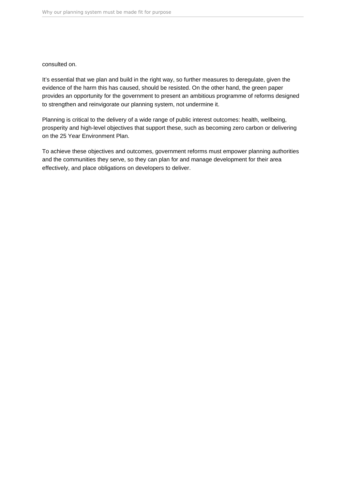consulted on.

It's essential that we plan and build in the right way, so further measures to deregulate, given the evidence of the harm this has caused, should be resisted. On the other hand, the green paper provides an opportunity for the government to present an ambitious programme of reforms designed to strengthen and reinvigorate our planning system, not undermine it.

Planning is critical to the delivery of a wide range of public interest outcomes: health, wellbeing, prosperity and high-level objectives that support these, such as becoming zero carbon or delivering on the 25 Year Environment Plan.

To achieve these objectives and outcomes, government reforms must empower planning authorities and the communities they serve, so they can plan for and manage development for their area effectively, and place obligations on developers to deliver.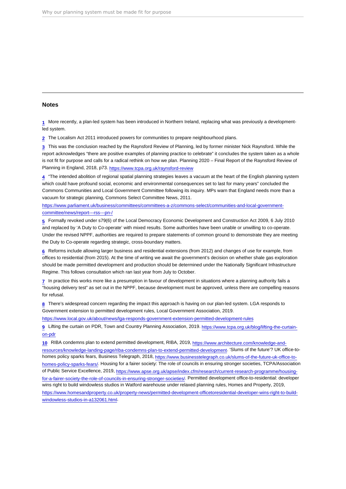#### <span id="page-7-0"></span>Notes

[1](#page-1-0) More recently, a plan-led system has been introduced in Northern Ireland, replacing what was previously a developmentled system.

[2](#page-1-0) The Localism Act 2011 introduced powers for communities to prepare neighbourhood plans.

[3](#page-1-0) This was the conclusion reached by the Raynsford Review of Planning, led by former minister Nick Raynsford. While the report acknowledges "there are positive examples of planning practice to celebrate" it concludes the system taken as a whole is not fit for purpose and calls for a radical rethink on how we plan. Planning 2020 – Final Report of the Raynsford Review of Planning in England, 2018, p73.<https://www.tcpa.org.uk/raynsford-review>

[4](#page-2-0) "The intended abolition of regional spatial planning strategies leaves a vacuum at the heart of the English planning system which could have profound social, economic and environmental consequences set to last for many years" concluded the Commons Communities and Local Government Committee following its inquiry. MPs warn that England needs more than a vacuum for strategic planning, Commons Select Committee News, 2011.

[https://www.parliament.uk/business/committees/committees-a-z/commons-select/communities-and-local-government](https://www.parliament.uk/business/committees/committees-a-z/commons-select/communities-and-local-government-committee/news/report---rss---pn-/)[committee/news/report---rss---pn-/](https://www.parliament.uk/business/committees/committees-a-z/commons-select/communities-and-local-government-committee/news/report---rss---pn-/)

[5](#page-2-0) Formally revoked under s79(6) of the Local Democracy Economic Development and Construction Act 2009, 6 July 2010 and replaced by 'A Duty to Co-operate' with mixed results. Some authorities have been unable or unwilling to co-operate. Under the revised NPPF, authorities are required to prepare statements of common ground to demonstrate they are meeting the Duty to Co-operate regarding strategic, cross-boundary matters.

[6](#page-2-0) Reforms include allowing larger business and residential extensions (from 2012) and changes of use for example, from offices to residential (from 2015). At the time of writing we await the government's decision on whether shale gas exploration should be made permitted development and production should be determined under the Nationally Significant Infrastructure Regime. This follows consultation which ran last year from July to October.

[7](#page-2-0) In practice this works more like a presumption in favour of development in situations where a planning authority fails a "housing delivery test" as set out in the NPPF, because development must be approved, unless there are compelling reasons for refusal.

[8](#page-2-0) There's widespread concern regarding the impact this approach is having on our plan-led system. LGA responds to Government extension to permitted development rules, Local Government Association, 2019.

<https://www.local.gov.uk/about/news/lga-responds-government-extension-permitted-development-rules>

[9](#page-2-0) Lifting the curtain on PDR, Town and Country Planning Association, 2019. [https://www.tcpa.org.uk/blog/lifting-the-curtain](https://www.tcpa.org.uk/blog/lifting-the-curtain-on-pdr)[on-pdr](https://www.tcpa.org.uk/blog/lifting-the-curtain-on-pdr)

[10](#page-2-0) RIBA condemns plan to extend permitted development, RIBA, 2019, [https://www.architecture.com/knowledge-and](https://www.architecture.com/knowledge-and-resources/knowledge-landing-page/riba-condemns-plan-to-extend-permitted-development)[resources/knowledge-landing-page/riba-condemns-plan-to-extend-permitted-development.](https://www.architecture.com/knowledge-and-resources/knowledge-landing-page/riba-condemns-plan-to-extend-permitted-development) 'Slums of the future'? UK office-tohomes policy sparks fears, Business Telegraph, 2018, [https://www.businesstelegraph.co.uk/slums-of-the-future-uk-office-to](https://www.businesstelegraph.co.uk/slums-of-the-future-uk-office-to-homes-policy-sparks-fears/)[homes-policy-sparks-fears/.](https://www.businesstelegraph.co.uk/slums-of-the-future-uk-office-to-homes-policy-sparks-fears/) Housing for a fairer society: The role of councils in ensuring stronger societies, TCPA/Association of Public Service Excellence, 2019, [https://www.apse.org.uk/apse/index.cfm/research/current-research-programme/housing](https://www.apse.org.uk/apse/index.cfm/research/current-research-programme/housing-for-a-fairer-society-the-role-of-councils-in-ensuring-stronger-societies/)[for-a-fairer-society-the-role-of-councils-in-ensuring-stronger-societies/](https://www.apse.org.uk/apse/index.cfm/research/current-research-programme/housing-for-a-fairer-society-the-role-of-councils-in-ensuring-stronger-societies/). Permitted development office-to-residential: developer wins right to build windowless studios in Watford warehouse under relaxed planning rules, Homes and Property, 2019, [https://www.homesandproperty.co.uk/property-news/permitted-development-officetoresidential-developer-wins-right-to-build](https://www.homesandproperty.co.uk/property-news/permitted-development-officetoresidential-developer-wins-right-to-build-windowless-studios-in-a132061.html)[windowless-studios-in-a132061.html.](https://www.homesandproperty.co.uk/property-news/permitted-development-officetoresidential-developer-wins-right-to-build-windowless-studios-in-a132061.html)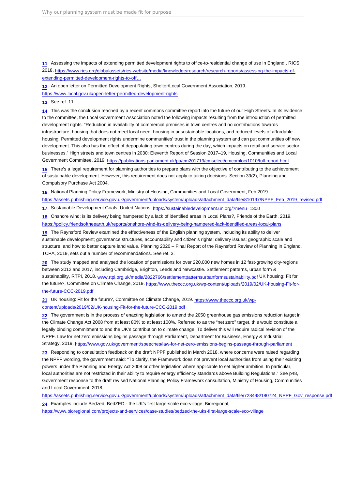<span id="page-8-0"></span>[11](#page-2-0) Assessing the impacts of extending permitted development rights to office-to-residential change of use in England , RICS, 2018. [https://www.rics.org/globalassets/rics-website/media/knowledge/research/research-reports/assessing-the-impacts-of](https://www.rics.org/globalassets/rics-website/media/knowledge/research/research-reports/assessing-the-impacts-of-extending-permitted-development-rights-to-office-to-residential-change-of-use-in-england-rics.pdf)[extending-permitted-development-rights-to-off…](https://www.rics.org/globalassets/rics-website/media/knowledge/research/research-reports/assessing-the-impacts-of-extending-permitted-development-rights-to-office-to-residential-change-of-use-in-england-rics.pdf)

[12](#page-2-0) An open letter on Permitted Development Rights, Shelter/Local Government Association, 2019.

<https://www.local.gov.uk/open-letter-permitted-development-rights>

[13](#page-2-0) See ref. 11

[14](#page-2-0) This was the conclusion reached by a recent commons committee report into the future of our High Streets. In its evidence to the committee, the Local Government Association noted the following impacts resulting from the introduction of permitted development rights: "Reduction in availability of commercial premises in town centres and no contributions towards infrastructure, housing that does not meet local need, housing in unsustainable locations, and reduced levels of affordable housing. Permitted development rights undermine communities' trust in the planning system and can put communities off new development. This also has the effect of depopulating town centres during the day, which impacts on retail and service sector businesses." High streets and town centres in 2030: Eleventh Report of Session 2017–19, Housing, Communities and Local Government Committee, 2019.<https://publications.parliament.uk/pa/cm201719/cmselect/cmcomloc/1010/full-report.html>

[15](#page-3-0) There's a legal requirement for planning authorities to prepare plans with the objective of contributing to the achievement of sustainable development. However, this requirement does not apply to taking decisions. Section 39(2), Planning and Compulsory Purchase Act 2004.

[16](#page-3-0) National Planning Policy Framework, Ministry of Housing, Communities and Local Government, Feb 2019. [https://assets.publishing.service.gov.uk/government/uploads/system/uploads/attachment\\_data/file/810197/NPPF\\_Feb\\_2019\\_revised.pdf](https://assets.publishing.service.gov.uk/government/uploads/system/uploads/attachment_data/file/810197/NPPF_Feb_2019_revised.pdf)

[17](#page-3-0) Sustainable Development Goals, United Nations.<https://sustainabledevelopment.un.org/?menu=1300>

[18](#page-3-0) Onshore wind: is its delivery being hampered by a lack of identified areas in Local Plans?, Friends of the Earth, 2019. <https://policy.friendsoftheearth.uk/reports/onshore-wind-its-delivery-being-hampered-lack-identified-areas-local-plans>

[19](#page-3-0) The Raynsford Review examined the effectiveness of the English planning system, including its ability to deliver sustainable development; governance structures, accountability and citizen's rights; delivery issues; geographic scale and structure; and how to better capture land value. Planning 2020 – Final Report of the Raynsford Review of Planning in England, TCPA, 2019, sets out a number of recommendations. See ref. 3.

[20](#page-4-0) The study mapped and analysed the location of permissions for over 220,000 new homes in 12 fast-growing city-regions between 2012 and 2017, including Cambridge, Brighton, Leeds and Newcastle. Settlement patterns, urban form & sustainability, RTPI, 2018. [www.rtpi.org.uk/media/2822766/settlementpatternsurbanformsustainability.pdf](http://www.rtpi.org.uk/media/2822766/settlementpatternsurbanformsustainability.pdf) UK housing: Fit for the future?, Committee on Climate Change, 2019. [https://www.theccc.org.uk/wp-content/uploads/2019/02/UK-housing-Fit-for](https://www.theccc.org.uk/wp-content/uploads/2019/02/UK-housing-Fit-for-the-future-CCC-2019.pdf)[the-future-CCC-2019.pdf](https://www.theccc.org.uk/wp-content/uploads/2019/02/UK-housing-Fit-for-the-future-CCC-2019.pdf)

[21](#page-4-0) UK housing: Fit for the future?, Committee on Climate Change, 2019. [https://www.theccc.org.uk/wp](https://www.theccc.org.uk/wp-content/uploads/2019/02/UK-housing-Fit-for-the-future-CCC-2019.pdf)[content/uploads/2019/02/UK-housing-Fit-for-the-future-CCC-2019.pdf](https://www.theccc.org.uk/wp-content/uploads/2019/02/UK-housing-Fit-for-the-future-CCC-2019.pdf)

[22](#page-4-0) The government is in the process of enacting legislation to amend the 2050 greenhouse gas emissions reduction target in the Climate Change Act 2008 from at least 80% to at least 100%. Referred to as the "net zero" target, this would constitute a legally binding commitment to end the UK's contribution to climate change. To deliver this will require radical revision of the NPPF. Law for net zero emissions begins passage through Parliament, Department for Business, Energy & Industrial Strategy, 2019.<https://www.gov.uk/government/speeches/law-for-net-zero-emissions-begins-passage-through-parliament>

[23](#page-4-0) Responding to consultation feedback on the draft NPPF published in March 2018, where concerns were raised regarding the NPPF wording, the government said: "To clarify, the Framework does not prevent local authorities from using their existing powers under the Planning and Energy Act 2008 or other legislation where applicable to set higher ambition. In particular, local authorities are not restricted in their ability to require energy efficiency standards above Building Regulations." See p48, Government response to the draft revised National Planning Policy Framework consultation, Ministry of Housing, Communities and Local Government, 2018.

[https://assets.publishing.service.gov.uk/government/uploads/system/uploads/attachment\\_data/file/728498/180724\\_NPPF\\_Gov\\_response.pdf](https://assets.publishing.service.gov.uk/government/uploads/system/uploads/attachment_data/file/728498/180724_NPPF_Gov_response.pdf)

[24](#page-4-0) Examples include Bedzed: BedZED - the UK's first large-scale eco-village, Bioregional,

<https://www.bioregional.com/projects-and-services/case-studies/bedzed-the-uks-first-large-scale-eco-village>